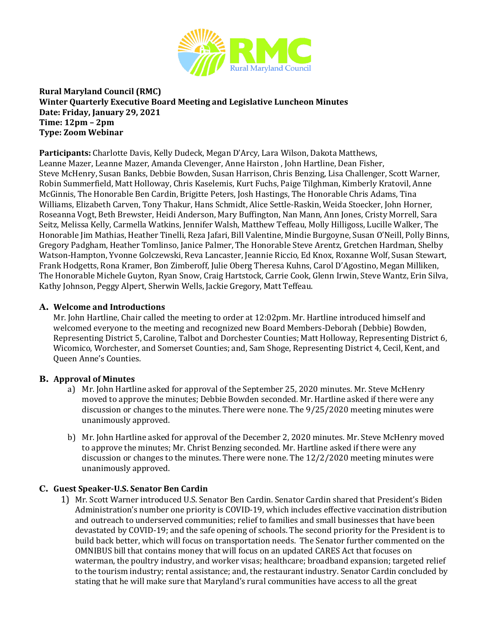

# **Rural Maryland Council (RMC) Winter Quarterly Executive Board Meeting and Legislative Luncheon Minutes Date: Friday, January 29, 2021 Time: 12pm – 2pm Type: Zoom Webinar**

**Participants:** Charlotte Davis, Kelly Dudeck, Megan D'Arcy, Lara Wilson, Dakota Matthews, Leanne Mazer, Leanne Mazer, Amanda Clevenger, Anne Hairston , John Hartline, Dean Fisher, Steve McHenry, Susan Banks, Debbie Bowden, Susan Harrison, Chris Benzing, Lisa Challenger, Scott Warner, Robin Summerfield, Matt Holloway, Chris Kaselemis, Kurt Fuchs, Paige Tilghman, Kimberly Kratovil, Anne McGinnis, The Honorable Ben Cardin, Brigitte Peters, Josh Hastings, The Honorable Chris Adams, Tina Williams, Elizabeth Carven, Tony Thakur, Hans Schmidt, Alice Settle-Raskin, Weida Stoecker, John Horner, Roseanna Vogt, Beth Brewster, Heidi Anderson, Mary Buffington, Nan Mann, Ann Jones, Cristy Morrell, Sara Seitz, Melissa Kelly, Carmella Watkins, Jennifer Walsh, Matthew Teffeau, Molly Hilligoss, Lucille Walker, The Honorable Jim Mathias, Heather Tinelli, Reza Jafari, Bill Valentine, Mindie Burgoyne, Susan O'Neill, Polly Binns, Gregory Padgham, Heather Tomlinso, Janice Palmer, The Honorable Steve Arentz, Gretchen Hardman, Shelby Watson-Hampton, Yvonne Golczewski, Reva Lancaster, Jeannie Riccio, Ed Knox, Roxanne Wolf, Susan Stewart, Frank Hodgetts, Rona Kramer, Bon Zimberoff, Julie Oberg Theresa Kuhns, Carol D'Agostino, Megan Milliken, The Honorable Michele Guyton, Ryan Snow, Craig Hartstock, Carrie Cook, Glenn Irwin, Steve Wantz, Erin Silva, Kathy Johnson, Peggy Alpert, Sherwin Wells, Jackie Gregory, Matt Teffeau.

## **A. Welcome and Introductions**

Mr. John Hartline, Chair called the meeting to order at 12:02pm. Mr. Hartline introduced himself and welcomed everyone to the meeting and recognized new Board Members-Deborah (Debbie) Bowden, Representing District 5, Caroline, Talbot and Dorchester Counties; Matt Holloway, Representing District 6, Wicomico, Worchester, and Somerset Counties; and, Sam Shoge, Representing District 4, Cecil, Kent, and Queen Anne's Counties.

## **B. Approval of Minutes**

- a) Mr. John Hartline asked for approval of the September 25, 2020 minutes. Mr. Steve McHenry moved to approve the minutes; Debbie Bowden seconded. Mr. Hartline asked if there were any discussion or changes to the minutes. There were none. The 9/25/2020 meeting minutes were unanimously approved.
- b) Mr. John Hartline asked for approval of the December 2, 2020 minutes. Mr. Steve McHenry moved to approve the minutes; Mr. Christ Benzing seconded. Mr. Hartline asked if there were any discussion or changes to the minutes. There were none. The 12/2/2020 meeting minutes were unanimously approved.

# **C. Guest Speaker-U.S. Senator Ben Cardin**

1) Mr. Scott Warner introduced U.S. Senator Ben Cardin. Senator Cardin shared that President's Biden Administration's number one priority is COVID-19, which includes effective vaccination distribution and outreach to underserved communities; relief to families and small businesses that have been devastated by COVID-19; and the safe opening of schools. The second priority for the President is to build back better, which will focus on transportation needs. The Senator further commented on the OMNIBUS bill that contains money that will focus on an updated CARES Act that focuses on waterman, the poultry industry, and worker visas; healthcare; broadband expansion; targeted relief to the tourism industry; rental assistance; and, the restaurant industry. Senator Cardin concluded by stating that he will make sure that Maryland's rural communities have access to all the great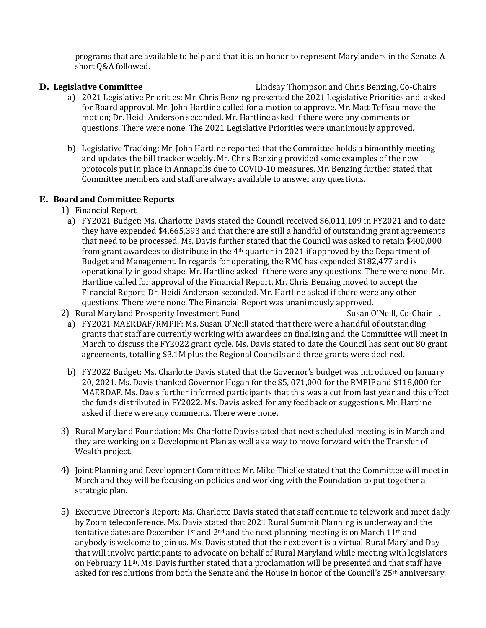programs that are available to help and that it is an honor to represent Marylanders in the Senate. A short Q&A followed.

- **D. Legislative Committee** Lindsay Thompson and Chris Benzing, Co-Chairs a) 2021 Legislative Priorities: Mr. Chris Benzing presented the 2021 Legislative Priorities and asked for Board approval. Mr. John Hartline called for a motion to approve. Mr. Matt Teffeau move the motion; Dr. Heidi Anderson seconded. Mr. Hartline asked if there were any comments or questions. There were none. The 2021 Legislative Priorities were unanimously approved.
	- b) Legislative Tracking: Mr. John Hartline reported that the Committee holds a bimonthly meeting and updates the bill tracker weekly. Mr. Chris Benzing provided some examples of the new protocols put in place in Annapolis due to COVID-10 measures. Mr. Benzing further stated that Committee members and staff are always available to answer any questions.

### **E. Board and Committee Reports**

- 1) Financial Report
	- a) FY2021 Budget: Ms. Charlotte Davis stated the Council received \$6,011,109 in FY2021 and to date they have expended \$4,665,393 and that there are still a handful of outstanding grant agreements that need to be processed. Ms. Davis further stated that the Council was asked to retain \$400,000 from grant awardees to distribute in the 4th quarter in 2021 if approved by the Department of Budget and Management. In regards for operating, the RMC has expended \$182,477 and is operationally in good shape. Mr. Hartline asked if there were any questions. There were none. Mr. Hartline called for approval of the Financial Report. Mr. Chris Benzing moved to accept the Financial Report; Dr. Heidi Anderson seconded. Mr. Hartline asked if there were any other questions. There were none. The Financial Report was unanimously approved.<br>4 a Susan O'Neill, Co-Chair .
- 2) Rural Maryland Prosperity Investment Fund
	- a) FY2021 MAERDAF/RMPIF: Ms. Susan O'Neill stated that there were a handful of outstanding grants that staff are currently working with awardees on finalizing and the Committee will meet in March to discuss the FY2022 grant cycle. Ms. Davis stated to date the Council has sent out 80 grant agreements, totalling \$3.1M plus the Regional Councils and three grants were declined.
	- b) FY2022 Budget: Ms. Charlotte Davis stated that the Governor's budget was introduced on January 20, 2021. Ms. Davis thanked Governor Hogan for the \$5, 071,000 for the RMPIF and \$118,000 for MAERDAF. Ms. Davis further informed participants that this was a cut from last year and this effect the funds distributed in FY2022. Ms. Davis asked for any feedback or suggestions. Mr. Hartline asked if there were any comments. There were none.
- 3) Rural Maryland Foundation: Ms. Charlotte Davis stated that next scheduled meeting is in March and they are working on a Development Plan as well as a way to move forward with the Transfer of Wealth project.
- 4) Joint Planning and Development Committee: Mr. Mike Thielke stated that the Committee will meet in March and they will be focusing on policies and working with the Foundation to put together a strategic plan.
- 5) Executive Director's Report: Ms. Charlotte Davis stated that staff continue to telework and meet daily by Zoom teleconference. Ms. Davis stated that 2021 Rural Summit Planning is underway and the tentative dates are December 1<sup>st</sup> and 2<sup>nd</sup> and the next planning meeting is on March 11<sup>th</sup> and anybody is welcome to join us. Ms. Davis stated that the next event is a virtual Rural Maryland Day that will involve participants to advocate on behalf of Rural Maryland while meeting with legislators on February 11th. Ms. Davis further stated that a proclamation will be presented and that staff have asked for resolutions from both the Senate and the House in honor of the Council's 25<sup>th</sup> anniversary.